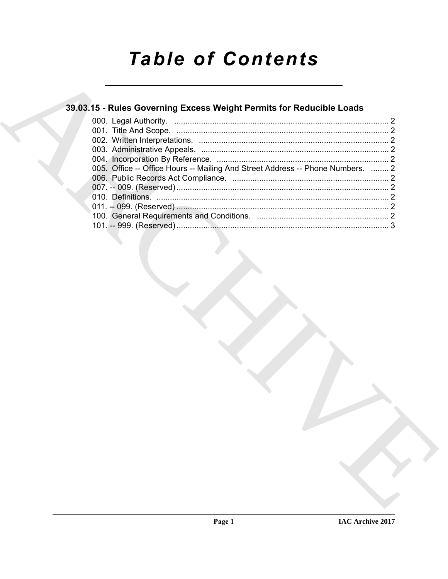# **Table of Contents**

### 39.03.15 - Rules Governing Excess Weight Permits for Reducible Loads

| 005. Office -- Office Hours -- Mailing And Street Address -- Phone Numbers.  2 |  |
|--------------------------------------------------------------------------------|--|
|                                                                                |  |
|                                                                                |  |
|                                                                                |  |
|                                                                                |  |
|                                                                                |  |
|                                                                                |  |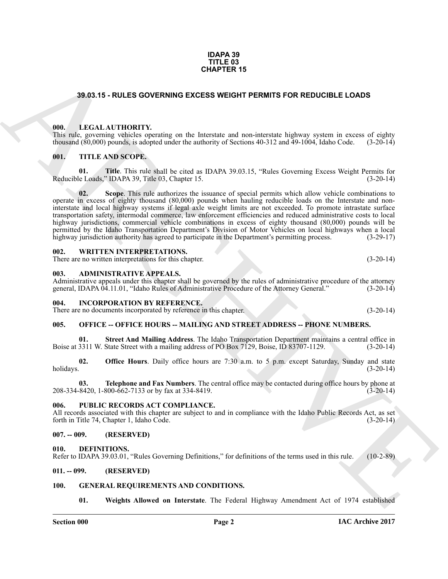#### **IDAPA 39 TITLE 03 CHAPTER 15**

#### <span id="page-1-0"></span>**39.03.15 - RULES GOVERNING EXCESS WEIGHT PERMITS FOR REDUCIBLE LOADS**

#### <span id="page-1-1"></span>**000. LEGAL AUTHORITY.**

This rule, governing vehicles operating on the Interstate and non-interstate highway system in excess of eighty thousand (80,000) pounds, is adopted under the authority of Sections 40-312 and 49-1004, Idaho Code. (3-20-14)

#### <span id="page-1-2"></span>**001. TITLE AND SCOPE.**

**01.** Title. This rule shall be cited as IDAPA 39.03.15, "Rules Governing Excess Weight Permits for le Loads." IDAPA 39. Title 03. Chapter 15. Reducible Loads," IDAPA 39, Title 03, Chapter 15.

**CHAPTER SOVERING CROSS WEIGHT PERMITS FOR REDUCTBLE LOADS<br>
1990.1.5 - RULES GOVERNING EXCESS WEIGHT PERMITS FOR REDUCTBLE LOADS<br>
1990.1.5 - RULES GOVERNING THE RESERVE TREAT TREAT TREAT TREAT TREAT TREAT TREAT TREAT TREA 02. Scope**. This rule authorizes the issuance of special permits which allow vehicle combinations to operate in excess of eighty thousand (80,000) pounds when hauling reducible loads on the Interstate and noninterstate and local highway systems if legal axle weight limits are not exceeded. To promote intrastate surface transportation safety, intermodal commerce, law enforcement efficiencies and reduced administrative costs to local highway jurisdictions, commercial vehicle combinations in excess of eighty thousand (80,000) pounds will be permitted by the Idaho Transportation Department's Division of Motor Vehicles on local highways when a local highway jurisdiction authority has agreed to participate in the Department's permitting process. (3-29-17)

#### <span id="page-1-3"></span>**002. WRITTEN INTERPRETATIONS.**

There are no written interpretations for this chapter. (3-20-14)

#### <span id="page-1-4"></span>**003. ADMINISTRATIVE APPEALS.**

Administrative appeals under this chapter shall be governed by the rules of administrative procedure of the attorney general. IDAPA 04.11.01. "Idaho Rules of Administrative Procedure of the Attorney General." (3-20-14) general, IDAPA 04.11.01, "Idaho Rules of Administrative Procedure of the Attorney General."

#### <span id="page-1-5"></span>**004. INCORPORATION BY REFERENCE.**

There are no documents incorporated by reference in this chapter. (3-20-14)

#### <span id="page-1-6"></span>**005. OFFICE -- OFFICE HOURS -- MAILING AND STREET ADDRESS -- PHONE NUMBERS.**

**Street And Mailing Address**. The Idaho Transportation Department maintains a central office in Boise at 3311 W. State Street with a mailing address of PO Box 7129, Boise, ID 83707-1129. (3-20-14)

**02. Office Hours**. Daily office hours are 7:30 a.m. to 5 p.m. except Saturday, Sunday and state holidays. (3-20-14) holidays. (3-20-14)

**Telephone and Fax Numbers**. The central office may be contacted during office hours by phone at 800-662-7133 or by fax at 334-8419.  $208-334-8420$ , 1-800-662-7133 or by fax at 334-8419.

#### <span id="page-1-7"></span>**006. PUBLIC RECORDS ACT COMPLIANCE.**

All records associated with this chapter are subject to and in compliance with the Idaho Public Records Act, as set forth in Title 74, Chapter 1, Idaho Code. (3-20-14) forth in Title 74, Chapter 1, Idaho Code.

#### <span id="page-1-8"></span>**007. -- 009. (RESERVED)**

<span id="page-1-12"></span><span id="page-1-9"></span>**010. DEFINITIONS.**

Refer to IDAPA 39.03.01, "Rules Governing Definitions," for definitions of the terms used in this rule. (10-2-89)

#### <span id="page-1-10"></span>**011. -- 099. (RESERVED)**

#### <span id="page-1-11"></span>**100. GENERAL REQUIREMENTS AND CONDITIONS.**

<span id="page-1-14"></span><span id="page-1-13"></span>**01. Weights Allowed on Interstate**. The Federal Highway Amendment Act of 1974 established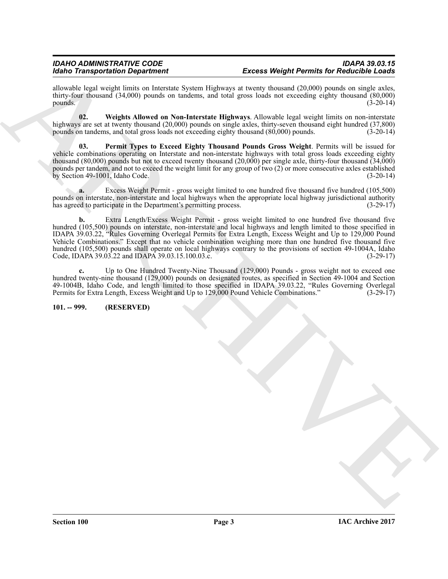#### *IDAHO ADMINISTRATIVE CODE IDAPA 39.03.15 Excess Weight Permits for Reducible Loads*

allowable legal weight limits on Interstate System Highways at twenty thousand (20,000) pounds on single axles, thirty-four thousand (34,000) pounds on tandems, and total gross loads not exceeding eighty thousand (80,000) pounds. (3-20-14)  $pounds.$  (3-20-14)

<span id="page-2-2"></span>**02. Weights Allowed on Non-Interstate Highways**. Allowable legal weight limits on non-interstate highways are set at twenty thousand (20,000) pounds on single axles, thirty-seven thousand eight hundred (37,800) pounds on tandems, and total gross loads not exceeding eighty thousand (80,000) pounds. (3-20-14) pounds on tandems, and total gross loads not exceeding eighty thousand (80,000) pounds.

<span id="page-2-1"></span>**03. Permit Types to Exceed Eighty Thousand Pounds Gross Weight**. Permits will be issued for vehicle combinations operating on Interstate and non-interstate highways with total gross loads exceeding eighty thousand (80,000) pounds but not to exceed twenty thousand (20,000) per single axle, thirty-four thousand (34,000) pounds per tandem, and not to exceed the weight limit for any group of two (2) or more consecutive axles established by Section 49-1001, Idaho Code. (3-20-14)

**a.** Excess Weight Permit - gross weight limited to one hundred five thousand five hundred (105,500) pounds on interstate, non-interstate and local highways when the appropriate local highway jurisdictional authority has agreed to participate in the Department's permitting process.  $(3-29-17)$ has agreed to participate in the Department's permitting process.

Model Taragona (1976) and the space of the space of the space of the space of the space of the space of the space of the space of the space of the space of the space of the space of the space of the space of the space of **b.** Extra Length/Excess Weight Permit - gross weight limited to one hundred five thousand five hundred (105,500) pounds on interstate, non-interstate and local highways and length limited to those specified in IDAPA 39.03.22, "Rules Governing Overlegal Permits for Extra Length, Excess Weight and Up to 129,000 Pound Vehicle Combinations." Except that no vehicle combination weighing more than one hundred five thousand five hundred (105,500) pounds shall operate on local highways contrary to the provisions of section 49-1004A, Idaho<br>Code, IDAPA 39.03.22 and IDAPA 39.03.15.100.03.c. (3-29-17) Code, IDAPA 39.03.22 and IDAPA 39.03.15.100.03.c.

**c.** Up to One Hundred Twenty-Nine Thousand (129,000) Pounds - gross weight not to exceed one hundred twenty-nine thousand (129,000) pounds on designated routes, as specified in Section 49-1004 and Section 49-1004B, Idaho Code, and length limited to those specified in IDAPA 39.03.22, "Rules Governing Overlegal Permits for Extra Length, Excess Weight and Up to 129,000 Pound Vehicle Combinations." (3-29-17)

<span id="page-2-0"></span>**101. -- 999. (RESERVED)**